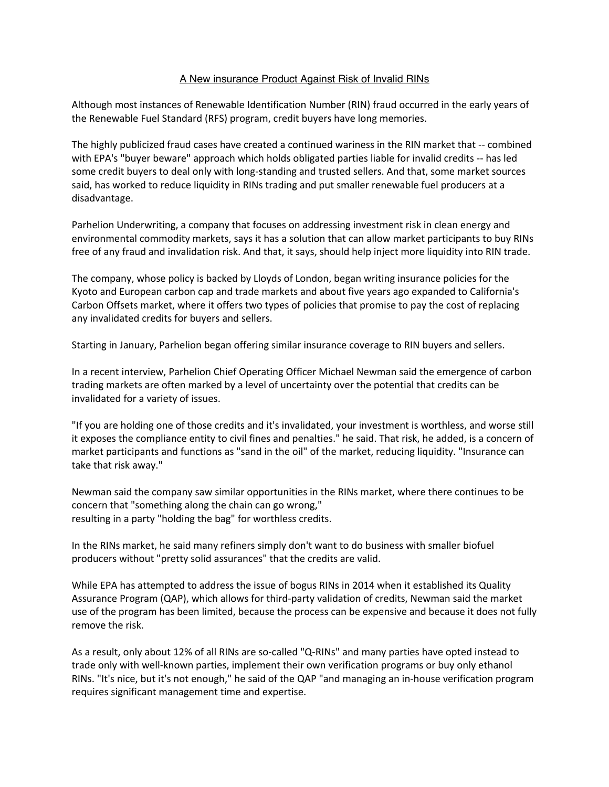## A New insurance Product Against Risk of Invalid RINs

Although most instances of Renewable Identification Number (RIN) fraud occurred in the early years of the Renewable Fuel Standard (RFS) program, credit buyers have long memories.

The highly publicized fraud cases have created a continued wariness in the RIN market that -- combined with EPA's "buyer beware" approach which holds obligated parties liable for invalid credits -- has led some credit buyers to deal only with long-standing and trusted sellers. And that, some market sources said, has worked to reduce liquidity in RINs trading and put smaller renewable fuel producers at a disadvantage.

Parhelion Underwriting, a company that focuses on addressing investment risk in clean energy and environmental commodity markets, says it has a solution that can allow market participants to buy RINs free of any fraud and invalidation risk. And that, it says, should help inject more liquidity into RIN trade.

The company, whose policy is backed by Lloyds of London, began writing insurance policies for the Kyoto and European carbon cap and trade markets and about five years ago expanded to California's Carbon Offsets market, where it offers two types of policies that promise to pay the cost of replacing any invalidated credits for buyers and sellers.

Starting in January, Parhelion began offering similar insurance coverage to RIN buyers and sellers.

In a recent interview, Parhelion Chief Operating Officer Michael Newman said the emergence of carbon trading markets are often marked by a level of uncertainty over the potential that credits can be invalidated for a variety of issues.

"If you are holding one of those credits and it's invalidated, your investment is worthless, and worse still it exposes the compliance entity to civil fines and penalties." he said. That risk, he added, is a concern of market participants and functions as "sand in the oil" of the market, reducing liquidity. "Insurance can take that risk away."

Newman said the company saw similar opportunities in the RINs market, where there continues to be concern that "something along the chain can go wrong," resulting in a party "holding the bag" for worthless credits.

In the RINs market, he said many refiners simply don't want to do business with smaller biofuel producers without "pretty solid assurances" that the credits are valid.

While EPA has attempted to address the issue of bogus RINs in 2014 when it established its Quality Assurance Program (QAP), which allows for third-party validation of credits, Newman said the market use of the program has been limited, because the process can be expensive and because it does not fully remove the risk.

As a result, only about 12% of all RINs are so-called "Q-RINs" and many parties have opted instead to trade only with well-known parties, implement their own verification programs or buy only ethanol RINs. "It's nice, but it's not enough," he said of the QAP "and managing an in-house verification program requires significant management time and expertise.